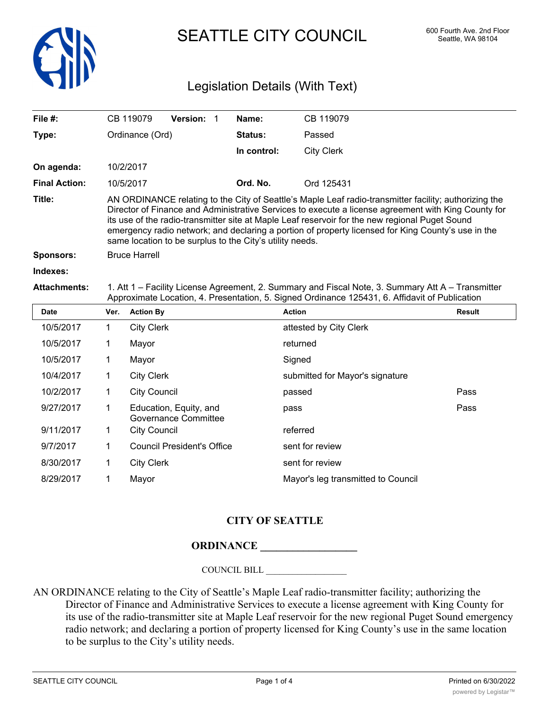

SEATTLE CITY COUNCIL 600 Fourth Ave. 2nd Floor

## Legislation Details (With Text)

| File $#$ :           |                                                                                                                                                                                                     | CB 119079                                                                                                                                                                                                                                                                                                                                                                                                                                                                        | <b>Version: 1</b> |  | Name:          | CB 119079                       |               |
|----------------------|-----------------------------------------------------------------------------------------------------------------------------------------------------------------------------------------------------|----------------------------------------------------------------------------------------------------------------------------------------------------------------------------------------------------------------------------------------------------------------------------------------------------------------------------------------------------------------------------------------------------------------------------------------------------------------------------------|-------------------|--|----------------|---------------------------------|---------------|
| Type:                |                                                                                                                                                                                                     | Ordinance (Ord)                                                                                                                                                                                                                                                                                                                                                                                                                                                                  |                   |  | <b>Status:</b> | Passed                          |               |
|                      |                                                                                                                                                                                                     |                                                                                                                                                                                                                                                                                                                                                                                                                                                                                  |                   |  | In control:    | <b>City Clerk</b>               |               |
| On agenda:           |                                                                                                                                                                                                     | 10/2/2017                                                                                                                                                                                                                                                                                                                                                                                                                                                                        |                   |  |                |                                 |               |
| <b>Final Action:</b> |                                                                                                                                                                                                     | 10/5/2017                                                                                                                                                                                                                                                                                                                                                                                                                                                                        |                   |  | Ord. No.       | Ord 125431                      |               |
| Title:               |                                                                                                                                                                                                     | AN ORDINANCE relating to the City of Seattle's Maple Leaf radio-transmitter facility; authorizing the<br>Director of Finance and Administrative Services to execute a license agreement with King County for<br>its use of the radio-transmitter site at Maple Leaf reservoir for the new regional Puget Sound<br>emergency radio network; and declaring a portion of property licensed for King County's use in the<br>same location to be surplus to the City's utility needs. |                   |  |                |                                 |               |
| <b>Sponsors:</b>     |                                                                                                                                                                                                     | <b>Bruce Harrell</b>                                                                                                                                                                                                                                                                                                                                                                                                                                                             |                   |  |                |                                 |               |
| Indexes:             |                                                                                                                                                                                                     |                                                                                                                                                                                                                                                                                                                                                                                                                                                                                  |                   |  |                |                                 |               |
| <b>Attachments:</b>  | 1. Att 1 – Facility License Agreement, 2. Summary and Fiscal Note, 3. Summary Att A – Transmitter<br>Approximate Location, 4. Presentation, 5. Signed Ordinance 125431, 6. Affidavit of Publication |                                                                                                                                                                                                                                                                                                                                                                                                                                                                                  |                   |  |                |                                 |               |
| Date                 | Ver.                                                                                                                                                                                                | <b>Action By</b>                                                                                                                                                                                                                                                                                                                                                                                                                                                                 |                   |  |                | <b>Action</b>                   | <b>Result</b> |
| 10/5/2017            | $\mathbf 1$                                                                                                                                                                                         | <b>City Clerk</b>                                                                                                                                                                                                                                                                                                                                                                                                                                                                |                   |  |                | attested by City Clerk          |               |
| 10/5/2017            | 1.                                                                                                                                                                                                  | Mayor                                                                                                                                                                                                                                                                                                                                                                                                                                                                            |                   |  |                | returned                        |               |
| 10/5/2017            | 1                                                                                                                                                                                                   | Mayor                                                                                                                                                                                                                                                                                                                                                                                                                                                                            |                   |  |                | Signed                          |               |
| 10/4/2017            | 1.                                                                                                                                                                                                  | <b>City Clerk</b>                                                                                                                                                                                                                                                                                                                                                                                                                                                                |                   |  |                | submitted for Mayor's signature |               |
|                      |                                                                                                                                                                                                     |                                                                                                                                                                                                                                                                                                                                                                                                                                                                                  |                   |  |                |                                 |               |

| 10/4/2017 | City Clerk                                     | submitted for Mayor's signature    |      |
|-----------|------------------------------------------------|------------------------------------|------|
| 10/2/2017 | <b>City Council</b>                            | passed                             | Pass |
| 9/27/2017 | Education, Equity, and<br>Governance Committee | pass                               | Pass |
| 9/11/2017 | City Council                                   | referred                           |      |
| 9/7/2017  | <b>Council President's Office</b>              | sent for review                    |      |
| 8/30/2017 | <b>City Clerk</b>                              | sent for review                    |      |
| 8/29/2017 | Mayor                                          | Mayor's leg transmitted to Council |      |
|           |                                                |                                    |      |

## **CITY OF SEATTLE**

## **ORDINANCE \_\_\_\_\_\_\_\_\_\_\_\_\_\_\_\_\_\_**

COUNCIL BILL \_\_\_\_\_\_\_\_\_\_\_\_\_\_\_\_\_\_

AN ORDINANCE relating to the City of Seattle's Maple Leaf radio-transmitter facility; authorizing the Director of Finance and Administrative Services to execute a license agreement with King County for its use of the radio-transmitter site at Maple Leaf reservoir for the new regional Puget Sound emergency radio network; and declaring a portion of property licensed for King County's use in the same location to be surplus to the City's utility needs.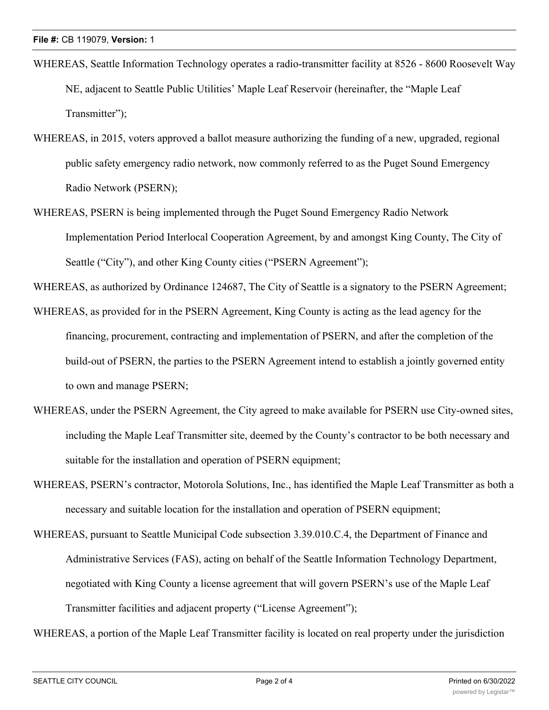- WHEREAS, Seattle Information Technology operates a radio-transmitter facility at 8526 8600 Roosevelt Way NE, adjacent to Seattle Public Utilities' Maple Leaf Reservoir (hereinafter, the "Maple Leaf Transmitter");
- WHEREAS, in 2015, voters approved a ballot measure authorizing the funding of a new, upgraded, regional public safety emergency radio network, now commonly referred to as the Puget Sound Emergency Radio Network (PSERN);
- WHEREAS, PSERN is being implemented through the Puget Sound Emergency Radio Network Implementation Period Interlocal Cooperation Agreement, by and amongst King County, The City of Seattle ("City"), and other King County cities ("PSERN Agreement");

WHEREAS, as authorized by Ordinance 124687, The City of Seattle is a signatory to the PSERN Agreement;

- WHEREAS, as provided for in the PSERN Agreement, King County is acting as the lead agency for the financing, procurement, contracting and implementation of PSERN, and after the completion of the build-out of PSERN, the parties to the PSERN Agreement intend to establish a jointly governed entity to own and manage PSERN;
- WHEREAS, under the PSERN Agreement, the City agreed to make available for PSERN use City-owned sites, including the Maple Leaf Transmitter site, deemed by the County's contractor to be both necessary and suitable for the installation and operation of PSERN equipment;
- WHEREAS, PSERN's contractor, Motorola Solutions, Inc., has identified the Maple Leaf Transmitter as both a necessary and suitable location for the installation and operation of PSERN equipment;
- WHEREAS, pursuant to Seattle Municipal Code subsection 3.39.010.C.4, the Department of Finance and Administrative Services (FAS), acting on behalf of the Seattle Information Technology Department, negotiated with King County a license agreement that will govern PSERN's use of the Maple Leaf Transmitter facilities and adjacent property ("License Agreement");

WHEREAS, a portion of the Maple Leaf Transmitter facility is located on real property under the jurisdiction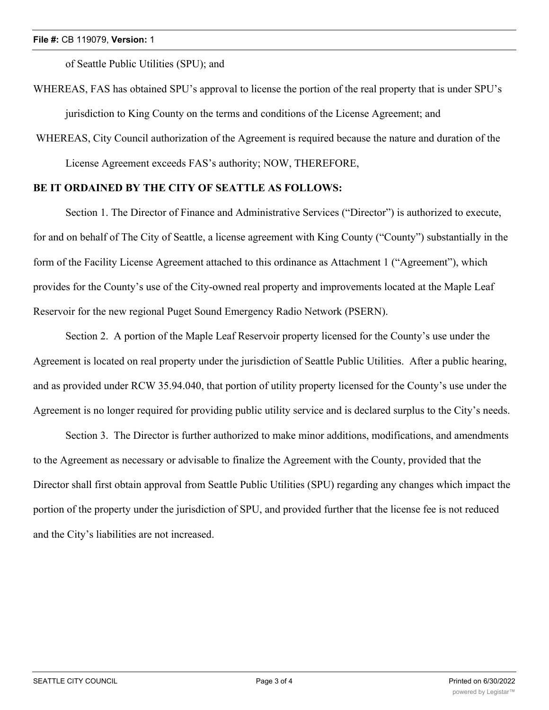of Seattle Public Utilities (SPU); and

WHEREAS, FAS has obtained SPU's approval to license the portion of the real property that is under SPU's jurisdiction to King County on the terms and conditions of the License Agreement; and

 WHEREAS, City Council authorization of the Agreement is required because the nature and duration of the License Agreement exceeds FAS's authority; NOW, THEREFORE,

## **BE IT ORDAINED BY THE CITY OF SEATTLE AS FOLLOWS:**

Section 1. The Director of Finance and Administrative Services ("Director") is authorized to execute, for and on behalf of The City of Seattle, a license agreement with King County ("County") substantially in the form of the Facility License Agreement attached to this ordinance as Attachment 1 ("Agreement"), which provides for the County's use of the City-owned real property and improvements located at the Maple Leaf Reservoir for the new regional Puget Sound Emergency Radio Network (PSERN).

Section 2. A portion of the Maple Leaf Reservoir property licensed for the County's use under the Agreement is located on real property under the jurisdiction of Seattle Public Utilities. After a public hearing, and as provided under RCW 35.94.040, that portion of utility property licensed for the County's use under the Agreement is no longer required for providing public utility service and is declared surplus to the City's needs.

Section 3. The Director is further authorized to make minor additions, modifications, and amendments to the Agreement as necessary or advisable to finalize the Agreement with the County, provided that the Director shall first obtain approval from Seattle Public Utilities (SPU) regarding any changes which impact the portion of the property under the jurisdiction of SPU, and provided further that the license fee is not reduced and the City's liabilities are not increased.